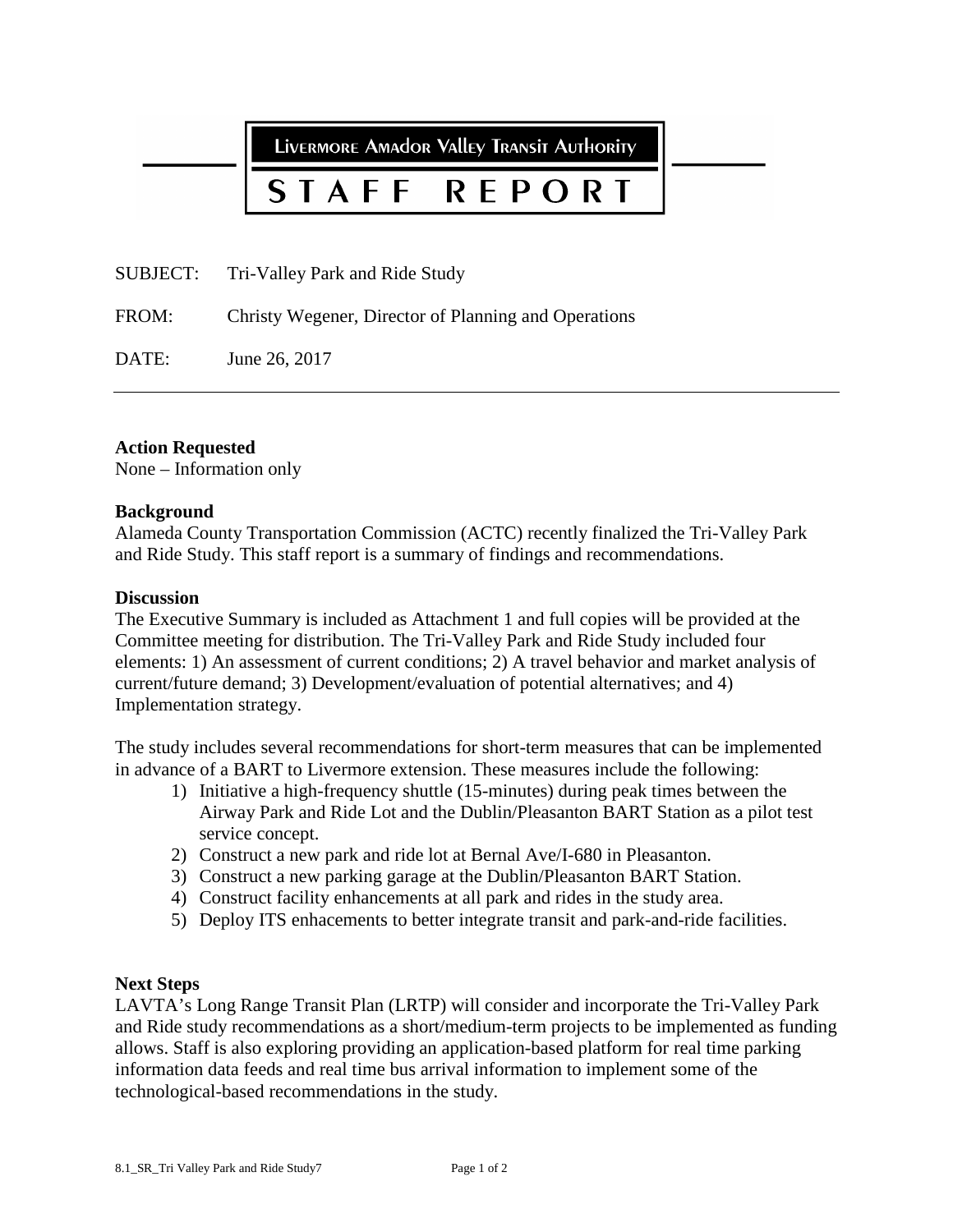LIVERMORE AMAdOR VAllEY TRANSIT AUTHORITY

## STAFF **REPORT**

SUBJECT: Tri-Valley Park and Ride Study

FROM: Christy Wegener, Director of Planning and Operations

DATE: June 26, 2017

### **Action Requested**

None – Information only

#### **Background**

Alameda County Transportation Commission (ACTC) recently finalized the Tri-Valley Park and Ride Study. This staff report is a summary of findings and recommendations.

#### **Discussion**

The Executive Summary is included as Attachment 1 and full copies will be provided at the Committee meeting for distribution. The Tri-Valley Park and Ride Study included four elements: 1) An assessment of current conditions; 2) A travel behavior and market analysis of current/future demand; 3) Development/evaluation of potential alternatives; and 4) Implementation strategy.

The study includes several recommendations for short-term measures that can be implemented in advance of a BART to Livermore extension. These measures include the following:

- 1) Initiative a high-frequency shuttle (15-minutes) during peak times between the Airway Park and Ride Lot and the Dublin/Pleasanton BART Station as a pilot test service concept.
- 2) Construct a new park and ride lot at Bernal Ave/I-680 in Pleasanton.
- 3) Construct a new parking garage at the Dublin/Pleasanton BART Station.
- 4) Construct facility enhancements at all park and rides in the study area.
- 5) Deploy ITS enhacements to better integrate transit and park-and-ride facilities.

#### **Next Steps**

LAVTA's Long Range Transit Plan (LRTP) will consider and incorporate the Tri-Valley Park and Ride study recommendations as a short/medium-term projects to be implemented as funding allows. Staff is also exploring providing an application-based platform for real time parking information data feeds and real time bus arrival information to implement some of the technological-based recommendations in the study.